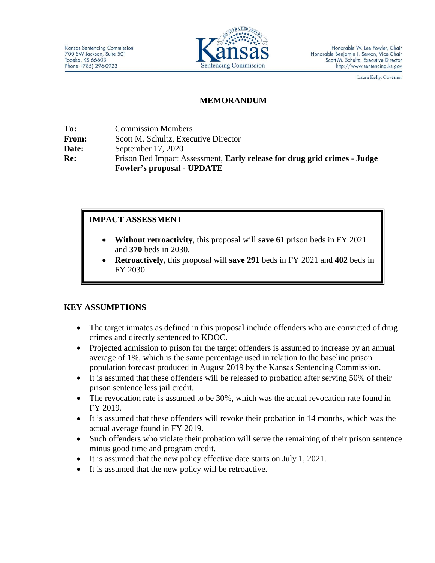

Laura Kelly, Governor

#### **MEMORANDUM**

| To:          | <b>Commission Members</b>                                                                                     |
|--------------|---------------------------------------------------------------------------------------------------------------|
| <b>From:</b> | Scott M. Schultz, Executive Director                                                                          |
| Date:        | September $17, 2020$                                                                                          |
| <b>Re:</b>   | Prison Bed Impact Assessment, Early release for drug grid crimes - Judge<br><b>Fowler's proposal - UPDATE</b> |

**\_\_\_\_\_\_\_\_\_\_\_\_\_\_\_\_\_\_\_\_\_\_\_\_\_\_\_\_\_\_\_\_\_\_\_\_\_\_\_\_\_\_\_\_\_\_\_\_\_\_\_\_\_\_\_\_\_\_\_\_\_\_\_\_\_\_\_\_\_\_\_\_\_\_\_\_\_\_\_\_\_\_**

## **IMPACT ASSESSMENT**

- **Without retroactivity**, this proposal will **save 61** prison beds in FY 2021 and **370** beds in 2030.
- **Retroactively,** this proposal will **save 291** beds in FY 2021 and **402** beds in FY 2030.

### **KEY ASSUMPTIONS**

- The target inmates as defined in this proposal include offenders who are convicted of drug crimes and directly sentenced to KDOC.
- Projected admission to prison for the target offenders is assumed to increase by an annual average of 1%, which is the same percentage used in relation to the baseline prison population forecast produced in August 2019 by the Kansas Sentencing Commission.
- It is assumed that these offenders will be released to probation after serving 50% of their prison sentence less jail credit.
- The revocation rate is assumed to be 30%, which was the actual revocation rate found in FY 2019.
- It is assumed that these offenders will revoke their probation in 14 months, which was the actual average found in FY 2019.
- Such offenders who violate their probation will serve the remaining of their prison sentence minus good time and program credit.
- It is assumed that the new policy effective date starts on July 1, 2021.
- It is assumed that the new policy will be retroactive.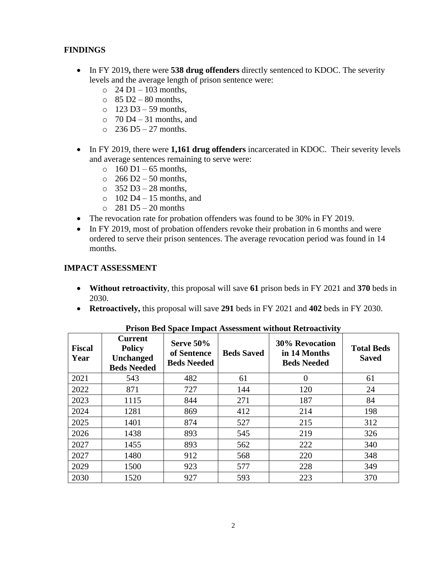#### **FINDINGS**

- In FY 2019, there were **538 drug offenders** directly sentenced to KDOC. The severity levels and the average length of prison sentence were:
	- $\circ$  24 D1 103 months,
	- $\Omega$  85 D<sub>2</sub> 80 months,
	- $\circ$  123 D3 59 months,
	- $\circ$  70 D4 31 months, and
	- $\degree$  236 D5 27 months.
- In FY 2019, there were **1,161 drug offenders** incarcerated in KDOC. Their severity levels and average sentences remaining to serve were:
	- $\circ$  160 D1 65 months,
	- $\circ$  266 D2 50 months,
	- $\circ$  352 D3 28 months.
	- $\circ$  102 D4 15 months, and
	- $\circ$  281 D5 20 months
- The revocation rate for probation offenders was found to be 30% in FY 2019.
- In FY 2019, most of probation offenders revoke their probation in 6 months and were ordered to serve their prison sentences. The average revocation period was found in 14 months.

#### **IMPACT ASSESSMENT**

- **Without retroactivity**, this proposal will save **61** prison beds in FY 2021 and **370** beds in 2030.
- **Retroactively,** this proposal will save **291** beds in FY 2021 and **402** beds in FY 2030.

| <b>Fiscal</b><br>Year | <b>Current</b><br><b>Policy</b><br><b>Unchanged</b><br><b>Beds Needed</b> | <b>Serve 50%</b><br>of Sentence<br><b>Beds Needed</b> | <b>Beds Saved</b> | <b>30% Revocation</b><br>in 14 Months<br><b>Beds Needed</b> | <b>Total Beds</b><br><b>Saved</b> |
|-----------------------|---------------------------------------------------------------------------|-------------------------------------------------------|-------------------|-------------------------------------------------------------|-----------------------------------|
| 2021                  | 543                                                                       | 482                                                   | 61                | 0                                                           | 61                                |
| 2022                  | 871                                                                       | 727                                                   | 144               | 120                                                         | 24                                |
| 2023                  | 1115                                                                      | 844                                                   | 271               | 187                                                         | 84                                |
| 2024                  | 1281                                                                      | 869                                                   | 412               | 214                                                         | 198                               |
| 2025                  | 1401                                                                      | 874                                                   | 527               | 215                                                         | 312                               |
| 2026                  | 1438                                                                      | 893                                                   | 545               | 219                                                         | 326                               |
| 2027                  | 1455                                                                      | 893                                                   | 562               | 222                                                         | 340                               |
| 2027                  | 1480                                                                      | 912                                                   | 568               | 220                                                         | 348                               |
| 2029                  | 1500                                                                      | 923                                                   | 577               | 228                                                         | 349                               |
| 2030                  | 1520                                                                      | 927                                                   | 593               | 223                                                         | 370                               |

**Prison Bed Space Impact Assessment without Retroactivity**